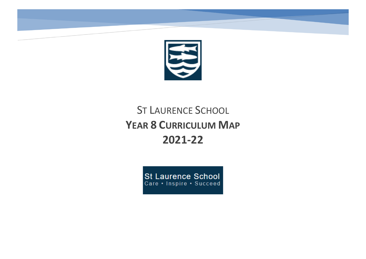

# ST LAURENCE SCHOOL **YEAR 8 CURRICULUM MAP 2021-22**

**St Laurence School** Care . Inspire . Succeed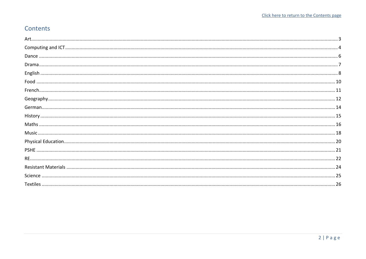# <span id="page-1-0"></span>Contents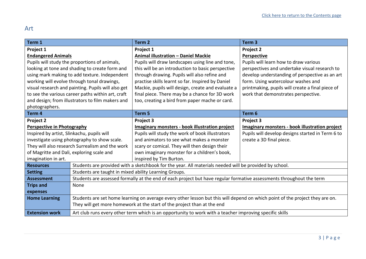# <span id="page-2-0"></span>Art

| Term 1                                          |                                                                                                                      | Term <sub>2</sub>                                                                                                            | Term <sub>3</sub>                                     |
|-------------------------------------------------|----------------------------------------------------------------------------------------------------------------------|------------------------------------------------------------------------------------------------------------------------------|-------------------------------------------------------|
| Project 1                                       |                                                                                                                      | Project 1                                                                                                                    | Project 2                                             |
| <b>Endangered Animals</b>                       |                                                                                                                      | <b>Animal illustration - Daniel Mackie</b>                                                                                   | Perspective                                           |
|                                                 | Pupils will study the proportions of animals,                                                                        | Pupils will draw landscapes using line and tone,                                                                             | Pupils will learn how to draw various                 |
|                                                 | looking at tone and shading to create form and                                                                       | this will be an introduction to basic perspective                                                                            | perspectives and undertake visual research to         |
|                                                 | using mark making to add texture. Independent                                                                        | through drawing. Pupils will also refine and                                                                                 | develop understanding of perspective as an art        |
|                                                 | working will evolve through tonal drawings,                                                                          | practise skills learnt so far. Inspired by Daniel                                                                            | form. Using watercolour washes and                    |
|                                                 | visual research and painting. Pupils will also get                                                                   | Mackie, pupils will design, create and evaluate a                                                                            | printmaking, pupils will create a final piece of      |
|                                                 | to see the various career paths within art, craft                                                                    | final piece. There may be a chance for 3D work                                                                               | work that demonstrates perspective.                   |
|                                                 | and design; from illustrators to film makers and                                                                     | too, creating a bird from paper mache or card.                                                                               |                                                       |
| photographers.                                  |                                                                                                                      |                                                                                                                              |                                                       |
| Term 4                                          |                                                                                                                      | Term <sub>5</sub>                                                                                                            | Term 6                                                |
| Project 2                                       |                                                                                                                      | Project 3                                                                                                                    | Project 3                                             |
| Perspective in Photography                      |                                                                                                                      | Imaginary monsters - book illustration project                                                                               | <b>Imaginary monsters - book illustration project</b> |
| Inspired by artist, Slinkachu, pupils will      |                                                                                                                      | Pupils will study the work of book illustrators                                                                              | Pupils will develop designs started in Term 6 to      |
| investigate using photography to show scale.    |                                                                                                                      | and animators to see what makes a monster                                                                                    | create a 3D final piece.                              |
| They will also research Surrealism and the work |                                                                                                                      | scary or comical. They will then design their                                                                                |                                                       |
| of Magritte and Dali, exploring scale and       |                                                                                                                      | own imaginary monster for a children's book,                                                                                 |                                                       |
| imagination in art.                             |                                                                                                                      | inspired by Tim Burton.                                                                                                      |                                                       |
| <b>Resources</b>                                |                                                                                                                      | Students are provided with a sketchbook for the year. All materials needed will be provided by school.                       |                                                       |
| <b>Setting</b>                                  | Students are taught in mixed ability Learning Groups.                                                                |                                                                                                                              |                                                       |
| <b>Assessment</b>                               | Students are assessed formally at the end of each project but have regular formative assessments throughout the term |                                                                                                                              |                                                       |
| <b>Trips and</b>                                | None                                                                                                                 |                                                                                                                              |                                                       |
| expenses                                        |                                                                                                                      |                                                                                                                              |                                                       |
| <b>Home Learning</b>                            |                                                                                                                      | Students are set home learning on average every other lesson but this will depend on which point of the project they are on. |                                                       |
|                                                 | They will get more homework at the start of the project than at the end                                              |                                                                                                                              |                                                       |
| <b>Extension work</b>                           |                                                                                                                      | Art club runs every other term which is an opportunity to work with a teacher improving specific skills                      |                                                       |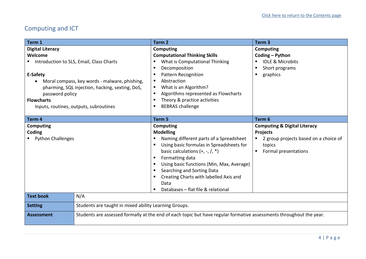# <span id="page-3-0"></span>Computing and ICT

| Term 1                                                                                                                                                                                         |                                                       | Term <sub>2</sub>                                                                                                                                                                                                                                                                                                                               | Term <sub>3</sub>                                                                                                                     |
|------------------------------------------------------------------------------------------------------------------------------------------------------------------------------------------------|-------------------------------------------------------|-------------------------------------------------------------------------------------------------------------------------------------------------------------------------------------------------------------------------------------------------------------------------------------------------------------------------------------------------|---------------------------------------------------------------------------------------------------------------------------------------|
| <b>Digital Literacy</b>                                                                                                                                                                        |                                                       | <b>Computing</b>                                                                                                                                                                                                                                                                                                                                | <b>Computing</b>                                                                                                                      |
| Welcome                                                                                                                                                                                        |                                                       | <b>Computational Thinking Skills</b>                                                                                                                                                                                                                                                                                                            | Coding - Python                                                                                                                       |
| <b>Introduction to SLS, Email, Class Charts</b>                                                                                                                                                |                                                       | What is Computational Thinking                                                                                                                                                                                                                                                                                                                  | <b>IDLE &amp; Microbits</b>                                                                                                           |
| E-Safety<br>Moral compass, key words - malware, phishing,<br>pharming, SQL injection, hacking, sexting, DoS,<br>password policy<br><b>Flowcharts</b><br>Inputs, routines, outputs, subroutines |                                                       | Decomposition<br><b>Pattern Recognition</b><br>Abstraction<br>What is an Algorithm?<br>٠<br>Algorithms represented as Flowcharts<br>Theory & practice activities<br><b>BEBRAS</b> challenge                                                                                                                                                     | Short programs<br>graphics<br>п                                                                                                       |
| Term 4                                                                                                                                                                                         |                                                       | Term 5                                                                                                                                                                                                                                                                                                                                          | Term 6                                                                                                                                |
| Computing<br>Coding<br>" Python Challenges                                                                                                                                                     |                                                       | Computing<br><b>Modelling</b><br>Naming different parts of a Spreadsheet<br>Using basic formulas in Spreadsheets for<br>basic calculations $(+, -, /, *)$<br>Formatting data<br>Using basic functions (Min, Max, Average)<br>Searching and Sorting Data<br>Creating Charts with labelled Axis and<br>Data<br>Databases - flat file & relational | <b>Computing &amp; Digital Literacy</b><br><b>Projects</b><br>2 group projects based on a choice of<br>topics<br>Formal presentations |
| <b>Text book</b>                                                                                                                                                                               | N/A                                                   |                                                                                                                                                                                                                                                                                                                                                 |                                                                                                                                       |
| <b>Setting</b>                                                                                                                                                                                 | Students are taught in mixed ability Learning Groups. |                                                                                                                                                                                                                                                                                                                                                 |                                                                                                                                       |
| <b>Assessment</b>                                                                                                                                                                              |                                                       | Students are assessed formally at the end of each topic but have regular formative assessments throughout the year.                                                                                                                                                                                                                             |                                                                                                                                       |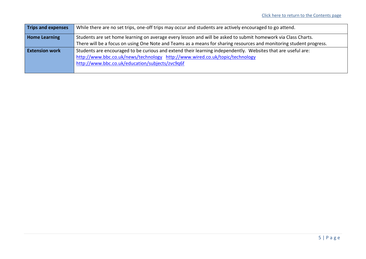| <b>Trips and expenses</b> | While there are no set trips, one-off trips may occur and students are actively encouraged to go attend.            |
|---------------------------|---------------------------------------------------------------------------------------------------------------------|
| <b>Home Learning</b>      | Students are set home learning on average every lesson and will be asked to submit homework via Class Charts.       |
|                           | There will be a focus on using One Note and Teams as a means for sharing resources and monitoring student progress. |
| <b>Extension work</b>     | Students are encouraged to be curious and extend their learning independently. Websites that are useful are:        |
|                           | http://www.bbc.co.uk/news/technology http://www.wired.co.uk/topic/technology                                        |
|                           | http://www.bbc.co.uk/education/subjects/zvc9q6f                                                                     |
|                           |                                                                                                                     |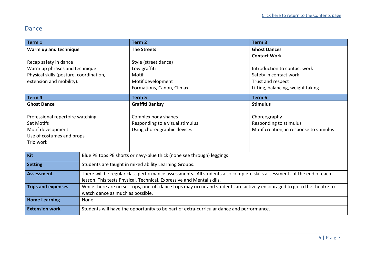#### <span id="page-5-0"></span>Dance

| Term 1                                  |                                                                                                                          | Term <sub>2</sub>                                                     | Term <sub>3</sub>                       |
|-----------------------------------------|--------------------------------------------------------------------------------------------------------------------------|-----------------------------------------------------------------------|-----------------------------------------|
| Warm up and technique                   |                                                                                                                          | <b>The Streets</b>                                                    | <b>Ghost Dances</b>                     |
|                                         |                                                                                                                          |                                                                       | <b>Contact Work</b>                     |
| Recap safety in dance                   |                                                                                                                          | Style (street dance)                                                  |                                         |
| Warm up phrases and technique           |                                                                                                                          | Low graffiti                                                          | Introduction to contact work            |
| Physical skills (posture, coordination, |                                                                                                                          | Motif                                                                 | Safety in contact work                  |
| extension and mobility).                |                                                                                                                          | Motif development                                                     | Trust and respect                       |
|                                         |                                                                                                                          | Formations, Canon, Climax                                             | Lifting, balancing, weight taking       |
| Term 4                                  |                                                                                                                          | Term <sub>5</sub>                                                     | Term <sub>6</sub>                       |
| <b>Ghost Dance</b>                      |                                                                                                                          | <b>Graffiti Banksy</b>                                                | <b>Stimulus</b>                         |
| Professional repertoire watching        |                                                                                                                          | Complex body shapes                                                   | Choreography                            |
| <b>Set Motifs</b>                       |                                                                                                                          | Responding to a visual stimulus                                       | Responding to stimulus                  |
| Motif development                       |                                                                                                                          | Using choreographic devices                                           | Motif creation, in response to stimulus |
| Use of costumes and props               |                                                                                                                          |                                                                       |                                         |
| Trio work                               |                                                                                                                          |                                                                       |                                         |
|                                         |                                                                                                                          |                                                                       |                                         |
| Kit                                     |                                                                                                                          | Blue PE tops PE shorts or navy-blue thick (none see through) leggings |                                         |
| <b>Setting</b>                          | Students are taught in mixed ability Learning Groups.                                                                    |                                                                       |                                         |
| <b>Assessment</b>                       | There will be regular class performance assessments. All students also complete skills assessments at the end of each    |                                                                       |                                         |
|                                         | lesson. This tests Physical, Technical, Expressive and Mental skills.                                                    |                                                                       |                                         |
| <b>Trips and expenses</b>               | While there are no set trips, one-off dance trips may occur and students are actively encouraged to go to the theatre to |                                                                       |                                         |
|                                         | watch dance as much as possible.                                                                                         |                                                                       |                                         |
| <b>Home Learning</b>                    | None                                                                                                                     |                                                                       |                                         |
| <b>Extension work</b>                   | Students will have the opportunity to be part of extra-curricular dance and performance.                                 |                                                                       |                                         |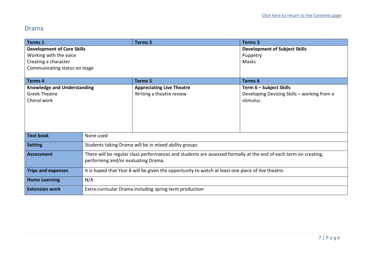#### <span id="page-6-0"></span>Drama

| <b>Terms 1</b>                     |                                                                                                                  | <b>Terms 2</b>                                          | <b>Terms 3</b>                              |
|------------------------------------|------------------------------------------------------------------------------------------------------------------|---------------------------------------------------------|---------------------------------------------|
| <b>Development of Core Skills</b>  |                                                                                                                  |                                                         | <b>Development of Subject Skills</b>        |
| Working with the voice             |                                                                                                                  |                                                         | Puppetry                                    |
| Creating a character               |                                                                                                                  |                                                         | Masks                                       |
| Communicating status on stage      |                                                                                                                  |                                                         |                                             |
|                                    |                                                                                                                  |                                                         |                                             |
| <b>Terms 4</b>                     |                                                                                                                  | <b>Terms 5</b>                                          | <b>Terms 6</b>                              |
| <b>Knowledge and Understanding</b> |                                                                                                                  | <b>Appreciating Live Theatre</b>                        | Term 6 - Subject Skills                     |
| <b>Greek Theatre</b>               |                                                                                                                  | Writing a theatre review                                | Developing Devising Skills - working from a |
| Choral work                        |                                                                                                                  |                                                         | stimulus                                    |
|                                    |                                                                                                                  |                                                         |                                             |
|                                    |                                                                                                                  |                                                         |                                             |
|                                    |                                                                                                                  |                                                         |                                             |
|                                    |                                                                                                                  |                                                         |                                             |
| <b>Text book</b>                   | None used                                                                                                        |                                                         |                                             |
|                                    |                                                                                                                  |                                                         |                                             |
| <b>Setting</b>                     |                                                                                                                  | Students taking Drama will be in mixed ability groups   |                                             |
| <b>Assessment</b>                  | There will be regular class performances and students are assessed formally at the end of each term on creating, |                                                         |                                             |
|                                    | performing and/or evaluating Drama.                                                                              |                                                         |                                             |
|                                    |                                                                                                                  |                                                         |                                             |
| <b>Trips and expenses</b>          | It is hoped that Year 8 will be given the opportunity to watch at least one piece of live theatre.               |                                                         |                                             |
| <b>Home Learning</b>               | N/A                                                                                                              |                                                         |                                             |
| <b>Extension work</b>              |                                                                                                                  | Extra-curricular Drama including spring term production |                                             |
|                                    |                                                                                                                  |                                                         |                                             |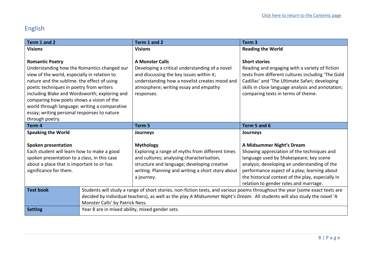# <span id="page-7-0"></span>English

| Term 1 and 2                                                                            |                                                 | Term 1 and 2                                                                                                                 | Term <sub>3</sub>                                                                                                         |
|-----------------------------------------------------------------------------------------|-------------------------------------------------|------------------------------------------------------------------------------------------------------------------------------|---------------------------------------------------------------------------------------------------------------------------|
| <b>Visions</b>                                                                          |                                                 | <b>Visions</b>                                                                                                               | <b>Reading the World</b>                                                                                                  |
|                                                                                         |                                                 |                                                                                                                              |                                                                                                                           |
| <b>Romantic Poetry</b>                                                                  |                                                 | <b>A Monster Calls</b>                                                                                                       | <b>Short stories</b>                                                                                                      |
| Understanding how the Romantics changed our                                             |                                                 | Developing a critical understanding of a novel                                                                               | Reading and engaging with a variety of fiction                                                                            |
| view of the world, especially in relation to                                            |                                                 | and discussing the key issues within it;                                                                                     | texts from different cultures including 'The Gold                                                                         |
| nature and the sublime. the effect of using<br>poetic techniques in poetry from writers |                                                 | understanding how a novelist creates mood and<br>atmosphere; writing essay and empathy                                       | Cadillac' and 'The Ultimate Safari; developing                                                                            |
| including Blake and Wordsworth; exploring and                                           |                                                 | responses.                                                                                                                   | skills in close language analysis and annotation;<br>comparing texts in terms of theme.                                   |
| comparing how poets shows a vision of the                                               |                                                 |                                                                                                                              |                                                                                                                           |
| world through language; writing a comparative                                           |                                                 |                                                                                                                              |                                                                                                                           |
| essay; writing personal responses to nature                                             |                                                 |                                                                                                                              |                                                                                                                           |
| through poetry.                                                                         |                                                 |                                                                                                                              |                                                                                                                           |
| Term <sub>4</sub>                                                                       |                                                 | Term 5                                                                                                                       | Term 5 and 6                                                                                                              |
| <b>Speaking the World</b>                                                               |                                                 | Journeys                                                                                                                     | Journeys                                                                                                                  |
|                                                                                         |                                                 |                                                                                                                              |                                                                                                                           |
| <b>Spoken presentation</b>                                                              |                                                 | <b>Mythology</b>                                                                                                             | A Midsummer Night's Dream                                                                                                 |
| Each student will learn how to make a good                                              |                                                 | Exploring a range of myths from different times                                                                              | Showing appreciation of the techniques and                                                                                |
| spoken presentation to a class, in this case                                            |                                                 | and cultures; analysing characterisation,                                                                                    | language used by Shakespeare; key scene                                                                                   |
| about a place that is important to or has                                               |                                                 | structure and language; developing creative                                                                                  | analysis; developing an understanding of the                                                                              |
| significance for them.                                                                  |                                                 | writing. Planning and writing a short story about<br>a journey.                                                              | performance aspect of a play; learning about<br>the historical context of the play, especially in                         |
|                                                                                         |                                                 |                                                                                                                              | relation to gender roles and marriage.                                                                                    |
| <b>Text book</b>                                                                        |                                                 | Students will study a range of short stories, non-fiction texts, and various poems throughout the year (some exact texts are |                                                                                                                           |
|                                                                                         |                                                 |                                                                                                                              | decided by individual teachers), as well as the play A Midsummer Night's Dream. All students will also study the novel 'A |
|                                                                                         |                                                 |                                                                                                                              |                                                                                                                           |
|                                                                                         | Monster Calls' by Patrick Ness.                 |                                                                                                                              |                                                                                                                           |
| <b>Setting</b>                                                                          | Year 8 are in mixed ability, mixed gender sets. |                                                                                                                              |                                                                                                                           |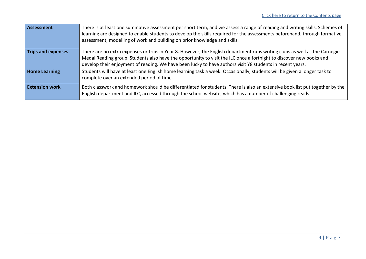| <b>Assessment</b>         | There is at least one summative assessment per short term, and we assess a range of reading and writing skills. Schemes of<br>learning are designed to enable students to develop the skills required for the assessments beforehand, through formative<br>assessment, modelling of work and building on prior knowledge and skills.                           |
|---------------------------|----------------------------------------------------------------------------------------------------------------------------------------------------------------------------------------------------------------------------------------------------------------------------------------------------------------------------------------------------------------|
| <b>Trips and expenses</b> | There are no extra expenses or trips in Year 8. However, the English department runs writing clubs as well as the Carnegie<br>Medal Reading group. Students also have the opportunity to visit the ILC once a fortnight to discover new books and<br>develop their enjoyment of reading. We have been lucky to have authors visit Y8 students in recent years. |
| <b>Home Learning</b>      | Students will have at least one English home learning task a week. Occasionally, students will be given a longer task to<br>complete over an extended period of time.                                                                                                                                                                                          |
| <b>Extension work</b>     | Both classwork and homework should be differentiated for students. There is also an extensive book list put together by the<br>English department and ILC, accessed through the school website, which has a number of challenging reads                                                                                                                        |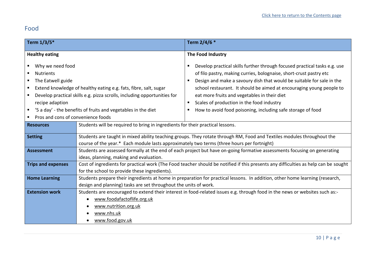# <span id="page-9-0"></span>Food

| Term 1/3/5*                                                                                                                                 |                                                                                                                                                                                                                      | Term 2/4/6 *                                                                                                                                                                                                                                                                                                                                                                                                                                                                |
|---------------------------------------------------------------------------------------------------------------------------------------------|----------------------------------------------------------------------------------------------------------------------------------------------------------------------------------------------------------------------|-----------------------------------------------------------------------------------------------------------------------------------------------------------------------------------------------------------------------------------------------------------------------------------------------------------------------------------------------------------------------------------------------------------------------------------------------------------------------------|
| <b>Healthy eating</b>                                                                                                                       |                                                                                                                                                                                                                      | The Food Industry                                                                                                                                                                                                                                                                                                                                                                                                                                                           |
| Why we need food<br>$\blacksquare$<br><b>Nutrients</b><br>■ The Eatwell guide<br>٠<br>recipe adaption<br>Pros and cons of convenience foods | Extend knowledge of healthy eating e.g. fats, fibre, salt, sugar<br>Develop practical skills e.g. pizza scrolls, including opportunities for<br>'5 a day' - the benefits of fruits and vegetables in the diet        | Develop practical skills further through focused practical tasks e.g. use<br>п<br>of filo pastry, making curries, bolognaise, short-crust pastry etc<br>Design and make a savoury dish that would be suitable for sale in the<br>п<br>school restaurant. It should be aimed at encouraging young people to<br>eat more fruits and vegetables in their diet<br>Scales of production in the food industry<br>п<br>How to avoid food poisoning, including safe storage of food |
| <b>Resources</b>                                                                                                                            | Students will be required to bring in ingredients for their practical lessons.                                                                                                                                       |                                                                                                                                                                                                                                                                                                                                                                                                                                                                             |
| <b>Setting</b>                                                                                                                              | Students are taught in mixed ability teaching groups. They rotate through RM, Food and Textiles modules throughout the<br>course of the year.* Each module lasts approximately two terms (three hours per fortnight) |                                                                                                                                                                                                                                                                                                                                                                                                                                                                             |
| <b>Assessment</b>                                                                                                                           | Students are assessed formally at the end of each project but have on-going formative assessments focusing on generating<br>ideas, planning, making and evaluation.                                                  |                                                                                                                                                                                                                                                                                                                                                                                                                                                                             |
| <b>Trips and expenses</b>                                                                                                                   | Cost of ingredients for practical work (The Food teacher should be notified if this presents any difficulties as help can be sought<br>for the school to provide these ingredients).                                 |                                                                                                                                                                                                                                                                                                                                                                                                                                                                             |
| <b>Home Learning</b>                                                                                                                        | Students prepare their ingredients at home in preparation for practical lessons. In addition, other home learning (research,<br>design and planning) tasks are set throughout the units of work.                     |                                                                                                                                                                                                                                                                                                                                                                                                                                                                             |
| <b>Extension work</b>                                                                                                                       | www.foodafactoflife.org.uk<br>www.nutrition.org.uk<br>www.nhs.uk<br>www.food.gov.uk                                                                                                                                  | Students are encouraged to extend their interest in food-related issues e.g. through food in the news or websites such as:-                                                                                                                                                                                                                                                                                                                                                 |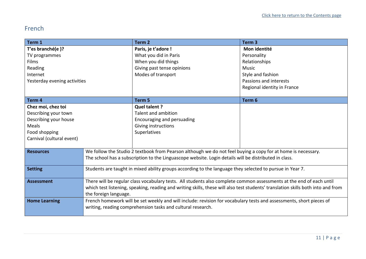# <span id="page-10-0"></span>French

| Term 1                       |                                                                                                                                                                                                                                                          | Term <sub>2</sub>                                                                                     | Term <sub>3</sub>           |
|------------------------------|----------------------------------------------------------------------------------------------------------------------------------------------------------------------------------------------------------------------------------------------------------|-------------------------------------------------------------------------------------------------------|-----------------------------|
| T'es branché(e)?             |                                                                                                                                                                                                                                                          | Paris, je t'adore !                                                                                   | Mon identité                |
| TV programmes                |                                                                                                                                                                                                                                                          | What you did in Paris                                                                                 | Personality                 |
| Films                        |                                                                                                                                                                                                                                                          | When you did things                                                                                   | Relationships               |
| Reading                      |                                                                                                                                                                                                                                                          | Giving past tense opinions                                                                            | <b>Music</b>                |
| Internet                     |                                                                                                                                                                                                                                                          | Modes of transport                                                                                    | Style and fashion           |
| Yesterday evening activities |                                                                                                                                                                                                                                                          |                                                                                                       | Passions and interests      |
|                              |                                                                                                                                                                                                                                                          |                                                                                                       | Regional identity in France |
|                              |                                                                                                                                                                                                                                                          |                                                                                                       |                             |
| Term <sub>4</sub>            |                                                                                                                                                                                                                                                          | Term <sub>5</sub>                                                                                     | Term 6                      |
| Chez moi, chez toi           |                                                                                                                                                                                                                                                          | Quel talent ?                                                                                         |                             |
| Describing your town         |                                                                                                                                                                                                                                                          | Talent and ambition                                                                                   |                             |
| Describing your house        |                                                                                                                                                                                                                                                          | Encouraging and persuading                                                                            |                             |
| Meals                        |                                                                                                                                                                                                                                                          | Giving instructions                                                                                   |                             |
| Food shopping                |                                                                                                                                                                                                                                                          | Superlatives                                                                                          |                             |
| Carnival (cultural event)    |                                                                                                                                                                                                                                                          |                                                                                                       |                             |
|                              |                                                                                                                                                                                                                                                          |                                                                                                       |                             |
| <b>Resources</b>             | We follow the Studio 2 textbook from Pearson although we do not feel buying a copy for at home is necessary.                                                                                                                                             |                                                                                                       |                             |
|                              |                                                                                                                                                                                                                                                          | The school has a subscription to the Linguascope website. Login details will be distributed in class. |                             |
|                              |                                                                                                                                                                                                                                                          |                                                                                                       |                             |
| <b>Setting</b>               | Students are taught in mixed ability groups according to the language they selected to pursue in Year 7.                                                                                                                                                 |                                                                                                       |                             |
| <b>Assessment</b>            |                                                                                                                                                                                                                                                          |                                                                                                       |                             |
|                              | There will be regular class vocabulary tests. All students also complete common assessments at the end of each until<br>which test listening, speaking, reading and writing skills, these will also test students' translation skills both into and from |                                                                                                       |                             |
|                              |                                                                                                                                                                                                                                                          |                                                                                                       |                             |
|                              | the foreign language.<br>French homework will be set weekly and will include: revision for vocabulary tests and assessments, short pieces of                                                                                                             |                                                                                                       |                             |
| <b>Home Learning</b>         |                                                                                                                                                                                                                                                          |                                                                                                       |                             |
|                              |                                                                                                                                                                                                                                                          | writing, reading comprehension tasks and cultural research.                                           |                             |
|                              |                                                                                                                                                                                                                                                          |                                                                                                       |                             |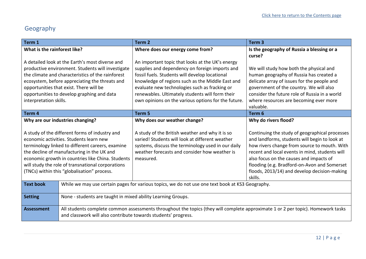# <span id="page-11-0"></span>Geography

| Term 1                                                                                                                                                                                                                                                                                                                                               |                                                                | Term <sub>2</sub>                                                                                                                                                                                                      | Term <sub>3</sub>                                                                                                                                                                                                                                                                                                                                       |
|------------------------------------------------------------------------------------------------------------------------------------------------------------------------------------------------------------------------------------------------------------------------------------------------------------------------------------------------------|----------------------------------------------------------------|------------------------------------------------------------------------------------------------------------------------------------------------------------------------------------------------------------------------|---------------------------------------------------------------------------------------------------------------------------------------------------------------------------------------------------------------------------------------------------------------------------------------------------------------------------------------------------------|
| What is the rainforest like?                                                                                                                                                                                                                                                                                                                         |                                                                | Where does our energy come from?                                                                                                                                                                                       | Is the geography of Russia a blessing or a                                                                                                                                                                                                                                                                                                              |
|                                                                                                                                                                                                                                                                                                                                                      |                                                                |                                                                                                                                                                                                                        | curse?                                                                                                                                                                                                                                                                                                                                                  |
|                                                                                                                                                                                                                                                                                                                                                      | A detailed look at the Earth's most diverse and                | An important topic that looks at the UK's energy                                                                                                                                                                       |                                                                                                                                                                                                                                                                                                                                                         |
|                                                                                                                                                                                                                                                                                                                                                      | productive environment. Students will investigate              | supplies and dependency on foreign imports and                                                                                                                                                                         | We will study how both the physical and                                                                                                                                                                                                                                                                                                                 |
|                                                                                                                                                                                                                                                                                                                                                      | the climate and characteristics of the rainforest              | fossil fuels. Students will develop locational                                                                                                                                                                         | human geography of Russia has created a                                                                                                                                                                                                                                                                                                                 |
|                                                                                                                                                                                                                                                                                                                                                      | ecosystem, before appreciating the threats and                 | knowledge of regions such as the Middle East and                                                                                                                                                                       | delicate array of issues for the people and                                                                                                                                                                                                                                                                                                             |
|                                                                                                                                                                                                                                                                                                                                                      | opportunities that exist. There will be                        | evaluate new technologies such as fracking or                                                                                                                                                                          | government of the country. We will also                                                                                                                                                                                                                                                                                                                 |
|                                                                                                                                                                                                                                                                                                                                                      | opportunities to develop graphing and data                     | renewables. Ultimately students will form their                                                                                                                                                                        | consider the future role of Russia in a world                                                                                                                                                                                                                                                                                                           |
| interpretation skills.                                                                                                                                                                                                                                                                                                                               |                                                                | own opinions on the various options for the future.                                                                                                                                                                    | where resources are becoming ever more                                                                                                                                                                                                                                                                                                                  |
|                                                                                                                                                                                                                                                                                                                                                      |                                                                |                                                                                                                                                                                                                        | valuable.                                                                                                                                                                                                                                                                                                                                               |
| Term 4                                                                                                                                                                                                                                                                                                                                               |                                                                | Term <sub>5</sub>                                                                                                                                                                                                      | Term 6                                                                                                                                                                                                                                                                                                                                                  |
|                                                                                                                                                                                                                                                                                                                                                      | Why are our industries changing?                               | Why does our weather change?                                                                                                                                                                                           | Why do rivers flood?                                                                                                                                                                                                                                                                                                                                    |
| A study of the different forms of industry and<br>economic activities. Students learn new<br>terminology linked to different careers, examine<br>the decline of manufacturing in the UK and<br>economic growth in countries like China. Students<br>will study the role of transnational corporations<br>(TNCs) within this "globalisation" process. |                                                                | A study of the British weather and why it is so<br>varied! Students will look at different weather<br>systems, discuss the terminology used in our daily<br>weather forecasts and consider how weather is<br>measured. | Continuing the study of geographical processes<br>and landforms, students will begin to look at<br>how rivers change from source to mouth. With<br>recent and local events in mind, students will<br>also focus on the causes and impacts of<br>flooding (e.g. Bradford-on-Avon and Somerset<br>floods, 2013/14) and develop decision-making<br>skills. |
| <b>Text book</b>                                                                                                                                                                                                                                                                                                                                     |                                                                | While we may use certain pages for various topics, we do not use one text book at KS3 Geography.                                                                                                                       |                                                                                                                                                                                                                                                                                                                                                         |
|                                                                                                                                                                                                                                                                                                                                                      |                                                                |                                                                                                                                                                                                                        |                                                                                                                                                                                                                                                                                                                                                         |
| <b>Setting</b>                                                                                                                                                                                                                                                                                                                                       | None - students are taught in mixed ability Learning Groups.   |                                                                                                                                                                                                                        |                                                                                                                                                                                                                                                                                                                                                         |
| <b>Assessment</b>                                                                                                                                                                                                                                                                                                                                    | and classwork will also contribute towards students' progress. | All students complete common assessments throughout the topics (they will complete approximate 1 or 2 per topic). Homework tasks                                                                                       |                                                                                                                                                                                                                                                                                                                                                         |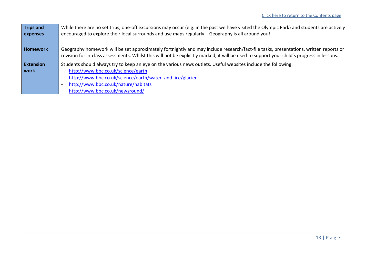| <b>Trips and</b> | While there are no set trips, one-off excursions may occur (e.g. in the past we have visited the Olympic Park) and students are actively   |
|------------------|--------------------------------------------------------------------------------------------------------------------------------------------|
| expenses         | encouraged to explore their local surrounds and use maps regularly - Geography is all around you!                                          |
|                  |                                                                                                                                            |
| <b>Homework</b>  | Geography homework will be set approximately fortnightly and may include research/fact-file tasks, presentations, written reports or       |
|                  | revision for in-class assessments. Whilst this will not be explicitly marked, it will be used to support your child's progress in lessons. |
| <b>Extension</b> | Students should always try to keep an eye on the various news outlets. Useful websites include the following:                              |
| work             | http://www.bbc.co.uk/science/earth                                                                                                         |
|                  | http://www.bbc.co.uk/science/earth/water and ice/glacier                                                                                   |
|                  | http://www.bbc.co.uk/nature/habitats                                                                                                       |
|                  | http://www.bbc.co.uk/newsround/                                                                                                            |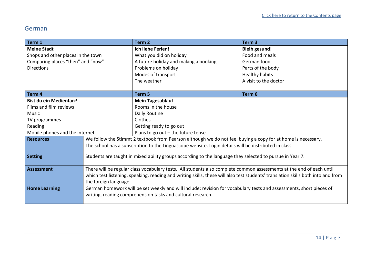#### <span id="page-13-0"></span>German

<span id="page-13-1"></span>

| Term 1                             |                                                                                                                                  | Term <sub>2</sub>                                                                                            | Term <sub>3</sub>     |
|------------------------------------|----------------------------------------------------------------------------------------------------------------------------------|--------------------------------------------------------------------------------------------------------------|-----------------------|
| <b>Meine Stadt</b>                 |                                                                                                                                  | <b>Ich liebe Ferien!</b>                                                                                     | <b>Bleib gesund!</b>  |
| Shops and other places in the town |                                                                                                                                  | What you did on holiday                                                                                      | Food and meals        |
| Comparing places "then" and "now"  |                                                                                                                                  | A future holiday and making a booking                                                                        | German food           |
| <b>Directions</b>                  |                                                                                                                                  | Problems on holiday                                                                                          | Parts of the body     |
|                                    |                                                                                                                                  | Modes of transport                                                                                           | Healthy habits        |
|                                    |                                                                                                                                  | The weather                                                                                                  | A visit to the doctor |
|                                    |                                                                                                                                  |                                                                                                              |                       |
| Term <sub>4</sub>                  |                                                                                                                                  | Term 5                                                                                                       | Term 6                |
| <b>Bist du ein Medienfan?</b>      |                                                                                                                                  | <b>Mein Tagesablauf</b>                                                                                      |                       |
| Films and film reviews             |                                                                                                                                  | Rooms in the house                                                                                           |                       |
| Music                              |                                                                                                                                  | Daily Routine                                                                                                |                       |
| TV programmes                      |                                                                                                                                  | Clothes                                                                                                      |                       |
| Reading                            |                                                                                                                                  | Getting ready to go out                                                                                      |                       |
| Mobile phones and the internet     |                                                                                                                                  | Plans to go out $-$ the future tense                                                                         |                       |
| <b>Resources</b>                   |                                                                                                                                  | We follow the Stimmt 2 textbook from Pearson although we do not feel buying a copy for at home is necessary. |                       |
|                                    | The school has a subscription to the Linguascope website. Login details will be distributed in class.                            |                                                                                                              |                       |
| <b>Setting</b>                     |                                                                                                                                  | Students are taught in mixed ability groups according to the language they selected to pursue in Year 7.     |                       |
|                                    |                                                                                                                                  |                                                                                                              |                       |
| <b>Assessment</b>                  | There will be regular class vocabulary tests. All students also complete common assessments at the end of each until             |                                                                                                              |                       |
|                                    | which test listening, speaking, reading and writing skills, these will also test students' translation skills both into and from |                                                                                                              |                       |
|                                    | the foreign language.                                                                                                            |                                                                                                              |                       |
| <b>Home Learning</b>               | German homework will be set weekly and will include: revision for vocabulary tests and assessments, short pieces of              |                                                                                                              |                       |
|                                    |                                                                                                                                  | writing, reading comprehension tasks and cultural research.                                                  |                       |
|                                    |                                                                                                                                  |                                                                                                              |                       |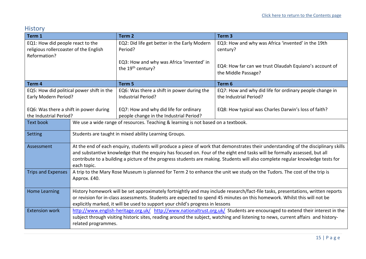## History

| Term 1                                                                                     |                                                                                                                                                                                                                                                                                                                                                                                                                   | Term <sub>2</sub>                                                                 | Term <sub>3</sub>                                                                 |
|--------------------------------------------------------------------------------------------|-------------------------------------------------------------------------------------------------------------------------------------------------------------------------------------------------------------------------------------------------------------------------------------------------------------------------------------------------------------------------------------------------------------------|-----------------------------------------------------------------------------------|-----------------------------------------------------------------------------------|
| EQ1: How did people react to the<br>religious rollercoaster of the English<br>Reformation? |                                                                                                                                                                                                                                                                                                                                                                                                                   | EQ2: Did life get better in the Early Modern<br>Period?                           | EQ3: How and why was Africa 'invented' in the 19th<br>century?                    |
|                                                                                            |                                                                                                                                                                                                                                                                                                                                                                                                                   | EQ3: How and why was Africa 'invented' in<br>the 19 <sup>th</sup> century?        | EQ4: How far can we trust Olaudah Equiano's account of<br>the Middle Passage?     |
| Term 4                                                                                     |                                                                                                                                                                                                                                                                                                                                                                                                                   | Term 5                                                                            | Term 6                                                                            |
| EQ5: How did political power shift in the<br>Early Modern Period?                          |                                                                                                                                                                                                                                                                                                                                                                                                                   | EQ6: Was there a shift in power during the<br><b>Industrial Period?</b>           | EQ7: How and why did life for ordinary people change in<br>the Industrial Period? |
| EQ6: Was there a shift in power during<br>the Industrial Period?                           |                                                                                                                                                                                                                                                                                                                                                                                                                   | EQ7: How and why did life for ordinary<br>people change in the Industrial Period? | EQ8: How typical was Charles Darwin's loss of faith?                              |
| <b>Text book</b>                                                                           | We use a wide range of resources. Teaching & learning is not based on a textbook.                                                                                                                                                                                                                                                                                                                                 |                                                                                   |                                                                                   |
| Setting                                                                                    | Students are taught in mixed ability Learning Groups.                                                                                                                                                                                                                                                                                                                                                             |                                                                                   |                                                                                   |
| Assessment                                                                                 | At the end of each enquiry, students will produce a piece of work that demonstrates their understanding of the disciplinary skills<br>and substantive knowledge that the enquiry has focused on. Four of the eight end tasks will be formally assessed, but all<br>contribute to a building a picture of the progress students are making. Students will also complete regular knowledge tests for<br>each topic. |                                                                                   |                                                                                   |
| <b>Trips and Expenses</b>                                                                  | A trip to the Mary Rose Museum is planned for Term 2 to enhance the unit we study on the Tudors. The cost of the trip is<br>Approx. £40.                                                                                                                                                                                                                                                                          |                                                                                   |                                                                                   |
| <b>Home Learning</b>                                                                       | History homework will be set approximately fortnightly and may include research/fact-file tasks, presentations, written reports<br>or revision for in-class assessments. Students are expected to spend 45 minutes on this homework. Whilst this will not be<br>explicitly marked, it will be used to support your child's progress in lessons                                                                    |                                                                                   |                                                                                   |
| <b>Extension work</b>                                                                      | http://www.english-heritage.org.uk/ http://www.nationaltrust.org.uk/ Students are encouraged to extend their interest in the<br>subject through visiting historic sites, reading around the subject, watching and listening to news, current affairs and history-<br>related programmes.                                                                                                                          |                                                                                   |                                                                                   |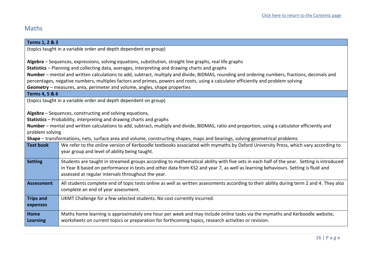# <span id="page-15-0"></span>Maths

| Terms 1, 2 & 3    |                                                                                                                                                  |  |  |
|-------------------|--------------------------------------------------------------------------------------------------------------------------------------------------|--|--|
|                   | (topics taught in a variable order and depth dependent on group)                                                                                 |  |  |
|                   |                                                                                                                                                  |  |  |
|                   | Algebra - Sequences, expressions, solving equations, substitution, straight line graphs, real life graphs                                        |  |  |
|                   | Statistics - Planning and collecting data, averages, interpreting and drawing charts and graphs                                                  |  |  |
|                   | Number – mental and written calculations to add, subtract, multiply and divide, BIDMAS, rounding and ordering numbers, fractions, decimals and   |  |  |
|                   | percentages, negative numbers, multiples factors and primes, powers and roots, using a calculator efficiently and problem solving                |  |  |
|                   | Geometry - measures, area, perimeter and volume, angles, shape properties                                                                        |  |  |
| Terms 4, 5 & 6    |                                                                                                                                                  |  |  |
|                   | (topics taught in a variable order and depth dependent on group)                                                                                 |  |  |
|                   |                                                                                                                                                  |  |  |
|                   | Algebra - Sequences, constructing and solving equations,                                                                                         |  |  |
|                   | Statistics - Probability, interpreting and drawing charts and graphs                                                                             |  |  |
|                   | Number - mental and written calculations to add, subtract, multiply and divide, BIDMAS, ratio and proportion, using a calculator efficiently and |  |  |
| problem solving   |                                                                                                                                                  |  |  |
|                   | Shape - transformations, nets, surface area and volume, constructing shapes, maps and bearings, solving geometrical problems                     |  |  |
| <b>Text book</b>  | We refer to the online version of Kerboodle textbooks associated with mymaths by Oxford University Press, which vary according to                |  |  |
|                   | year group and level of ability being taught.                                                                                                    |  |  |
| <b>Setting</b>    | Students are taught in streamed groups according to mathematical ability with five sets in each half of the year. Setting is introduced          |  |  |
|                   | in Year 8 based on performance in tests and other data from KS2 and year 7, as well as learning behaviours. Setting is fluid and                 |  |  |
|                   | assessed at regular intervals throughout the year.                                                                                               |  |  |
|                   |                                                                                                                                                  |  |  |
| <b>Assessment</b> | All students complete end of topic tests online as well as written assessments according to their ability during term 2 and 4. They also         |  |  |
|                   | complete an end of year assessment.                                                                                                              |  |  |
| <b>Trips and</b>  | UKMT Challenge for a few selected students. No cost currently incurred.                                                                          |  |  |
| expenses          |                                                                                                                                                  |  |  |
|                   |                                                                                                                                                  |  |  |
| <b>Home</b>       | Maths home learning is approximately one hour per week and may include online tasks via the mymaths and Kerboodle website,                       |  |  |
| <b>Learning</b>   | worksheets on current topics or preparation for forthcoming topics, research activities or revision.                                             |  |  |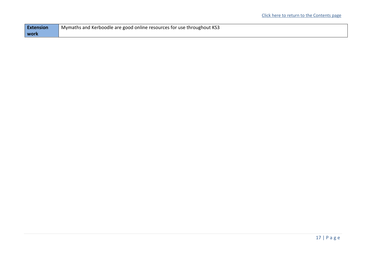| <b>Extension</b> | Mymaths and Kerboodle are good online resources for use throughout KS3 |
|------------------|------------------------------------------------------------------------|
| l work           |                                                                        |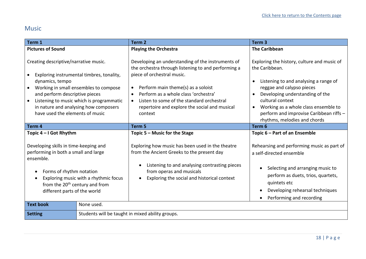## <span id="page-17-0"></span>Music

| Term 1                                                                                                                                                                                                                                                                                                   |                                                  | Term <sub>2</sub>                                                                                                                                                                                                                                                                                                                          | Term <sub>3</sub>                                                                                                                                                                                                                                                                                             |
|----------------------------------------------------------------------------------------------------------------------------------------------------------------------------------------------------------------------------------------------------------------------------------------------------------|--------------------------------------------------|--------------------------------------------------------------------------------------------------------------------------------------------------------------------------------------------------------------------------------------------------------------------------------------------------------------------------------------------|---------------------------------------------------------------------------------------------------------------------------------------------------------------------------------------------------------------------------------------------------------------------------------------------------------------|
| <b>Pictures of Sound</b>                                                                                                                                                                                                                                                                                 |                                                  | <b>Playing the Orchestra</b>                                                                                                                                                                                                                                                                                                               | <b>The Caribbean</b>                                                                                                                                                                                                                                                                                          |
| Creating descriptive/narrative music.<br>Exploring instrumental timbres, tonality,<br>dynamics, tempo<br>Working in small ensembles to compose<br>and perform descriptive pieces<br>Listening to music which is programmatic<br>in nature and analysing how composers<br>have used the elements of music |                                                  | Developing an understanding of the instruments of<br>the orchestra through listening to and performing a<br>piece of orchestral music.<br>Perform main theme(s) as a soloist<br>$\bullet$<br>Perform as a whole class 'orchestra'<br>Listen to some of the standard orchestral<br>repertoire and explore the social and musical<br>context | Exploring the history, culture and music of<br>the Caribbean.<br>Listening to and analysing a range of<br>reggae and calypso pieces<br>Developing understanding of the<br>cultural context<br>Working as a whole class ensemble to<br>perform and improvise Caribbean riffs -<br>rhythms, melodies and chords |
| Term 4                                                                                                                                                                                                                                                                                                   |                                                  | Term <sub>5</sub>                                                                                                                                                                                                                                                                                                                          | Term 6                                                                                                                                                                                                                                                                                                        |
| Topic 4 – I Got Rhythm                                                                                                                                                                                                                                                                                   |                                                  | Topic $5 -$ Music for the Stage                                                                                                                                                                                                                                                                                                            | Topic 6 – Part of an Ensemble                                                                                                                                                                                                                                                                                 |
| Developing skills in time-keeping and<br>performing in both a small and large<br>ensemble.<br>Forms of rhythm notation<br>Exploring music with a rhythmic focus<br>from the 20 <sup>th</sup> century and from<br>different parts of the world                                                            |                                                  | Exploring how music has been used in the theatre<br>from the Ancient Greeks to the present day<br>Listening to and analysing contrasting pieces<br>from operas and musicals<br>Exploring the social and historical context                                                                                                                 | Rehearsing and performing music as part of<br>a self-directed ensemble<br>Selecting and arranging music to<br>perform as duets, trios, quartets,<br>quintets etc<br>Developing rehearsal techniques<br>Performing and recording<br>$\bullet$                                                                  |
| <b>Text book</b>                                                                                                                                                                                                                                                                                         | None used.                                       |                                                                                                                                                                                                                                                                                                                                            |                                                                                                                                                                                                                                                                                                               |
| <b>Setting</b>                                                                                                                                                                                                                                                                                           | Students will be taught in mixed ability groups. |                                                                                                                                                                                                                                                                                                                                            |                                                                                                                                                                                                                                                                                                               |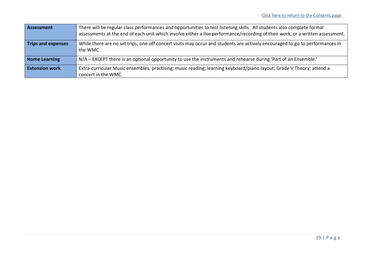| Assessment                | There will be regular class performances and opportunities to test listening skills. All students also complete formal<br>assessments at the end of each unit which involve either a live performance/recording of their work, or a written assessment. |
|---------------------------|---------------------------------------------------------------------------------------------------------------------------------------------------------------------------------------------------------------------------------------------------------|
| <b>Trips and expenses</b> | While there are no set trips, one-off concert visits may occur and students are actively encouraged to go to performances in<br>the WMC.                                                                                                                |
| <b>Home Learning</b>      | N/A – EXCEPT there is an optional opportunity to use the instruments and rehearse during 'Part of an Ensemble.'                                                                                                                                         |
| <b>Extension work</b>     | Extra-curricular Music ensembles; practising; music reading; learning keyboard/piano layout; Grade V Theory; attend a<br>concert in the WMC.                                                                                                            |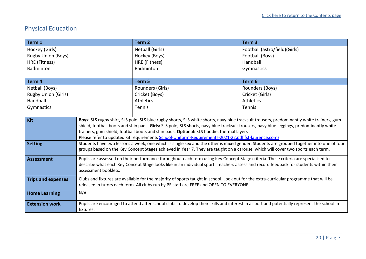# <span id="page-19-0"></span>Physical Education

| Term 1                     |                                                                                                                                                                                                                                                                                       | Term <sub>2</sub>                                                                                                                          | Term <sub>3</sub>             |
|----------------------------|---------------------------------------------------------------------------------------------------------------------------------------------------------------------------------------------------------------------------------------------------------------------------------------|--------------------------------------------------------------------------------------------------------------------------------------------|-------------------------------|
| Hockey (Girls)             |                                                                                                                                                                                                                                                                                       | Netball (Girls)                                                                                                                            | Football (astro/field)(Girls) |
| <b>Rugby Union (Boys)</b>  |                                                                                                                                                                                                                                                                                       | Hockey (Boys)                                                                                                                              | Football (Boys)               |
| HRE (Fitness)              |                                                                                                                                                                                                                                                                                       | HRE (Fitness)                                                                                                                              | Handball                      |
| Badminton                  |                                                                                                                                                                                                                                                                                       | Badminton                                                                                                                                  | Gymnastics                    |
|                            |                                                                                                                                                                                                                                                                                       |                                                                                                                                            |                               |
| Term 4                     |                                                                                                                                                                                                                                                                                       | Term 5                                                                                                                                     | Term 6                        |
| Netball (Boys)             |                                                                                                                                                                                                                                                                                       | Rounders (Girls)                                                                                                                           | Rounders (Boys)               |
| <b>Rugby Union (Girls)</b> |                                                                                                                                                                                                                                                                                       | Cricket (Boys)                                                                                                                             | Cricket (Girls)               |
| Handball                   |                                                                                                                                                                                                                                                                                       | <b>Athletics</b>                                                                                                                           | <b>Athletics</b>              |
| Gymnastics                 |                                                                                                                                                                                                                                                                                       | <b>Tennis</b>                                                                                                                              | Tennis                        |
|                            |                                                                                                                                                                                                                                                                                       |                                                                                                                                            |                               |
| Kit                        | Boys: SLS rugby shirt, SLS polo, SLS blue rugby shorts, SLS white shorts, navy blue tracksuit trousers, predominantly white trainers, gum<br>shield, football boots and shin pads. Girls: SLS polo, SLS shorts, navy blue tracksuit trousers, navy blue leggings, predominantly white |                                                                                                                                            |                               |
|                            |                                                                                                                                                                                                                                                                                       | trainers, gum shield, football boots and shin pads. Optional: SLS hoodie, thermal layers                                                   |                               |
|                            | Please refer to updated kit requirements School-Uniform-Requirements-2021-22.pdf (st-laurence.com)                                                                                                                                                                                    |                                                                                                                                            |                               |
| <b>Setting</b>             | Students have two lessons a week, one which is single sex and the other is mixed gender. Students are grouped together into one of four                                                                                                                                               |                                                                                                                                            |                               |
|                            | groups based on the Key Concept Stages achieved in Year 7. They are taught on a carousel which will cover two sports each term.                                                                                                                                                       |                                                                                                                                            |                               |
| <b>Assessment</b>          | Pupils are assessed on their performance throughout each term using Key Concept Stage criteria. These criteria are specialised to                                                                                                                                                     |                                                                                                                                            |                               |
|                            |                                                                                                                                                                                                                                                                                       | describe what each Key Concept Stage looks like in an individual sport. Teachers assess and record feedback for students within their      |                               |
|                            | assessment booklets.                                                                                                                                                                                                                                                                  |                                                                                                                                            |                               |
| <b>Trips and expenses</b>  | Clubs and fixtures are available for the majority of sports taught in school. Look out for the extra-curricular programme that will be                                                                                                                                                |                                                                                                                                            |                               |
|                            | released in tutors each term. All clubs run by PE staff are FREE and OPEN TO EVERYONE.                                                                                                                                                                                                |                                                                                                                                            |                               |
| <b>Home Learning</b>       | N/A                                                                                                                                                                                                                                                                                   |                                                                                                                                            |                               |
|                            |                                                                                                                                                                                                                                                                                       |                                                                                                                                            |                               |
| <b>Extension work</b>      |                                                                                                                                                                                                                                                                                       | Pupils are encouraged to attend after school clubs to develop their skills and interest in a sport and potentially represent the school in |                               |
|                            | fixtures.                                                                                                                                                                                                                                                                             |                                                                                                                                            |                               |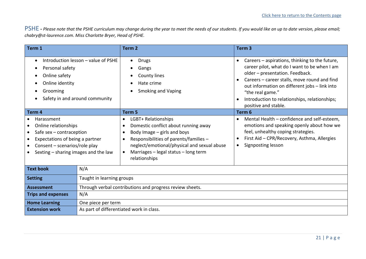<span id="page-20-0"></span>PSHE **-** *Please note that the PSHE curriculum may change during the year to meet the needs of our students. If you would like an up to date version, please email; [chabry@st-laurence.com.](mailto:chabry@st-laurence.com) Miss Charlotte Bryer, Head of PSHE.*

| Term 1                                                                                                                                                                                                           |                                                          | Term <sub>2</sub>                                                                                                                                                                                                                              | Term <sub>3</sub>                                                                                                                                                                                                                                                                                                                                      |
|------------------------------------------------------------------------------------------------------------------------------------------------------------------------------------------------------------------|----------------------------------------------------------|------------------------------------------------------------------------------------------------------------------------------------------------------------------------------------------------------------------------------------------------|--------------------------------------------------------------------------------------------------------------------------------------------------------------------------------------------------------------------------------------------------------------------------------------------------------------------------------------------------------|
| Introduction lesson - value of PSHE<br>$\bullet$<br>Personal safety<br>Online safety<br>Online identity<br>Grooming<br>Safety in and around community                                                            |                                                          | <b>Drugs</b><br>$\bullet$<br>Gangs<br><b>County lines</b><br>Hate crime<br><b>Smoking and Vaping</b><br>Term 5                                                                                                                                 | Careers – aspirations, thinking to the future,<br>$\bullet$<br>career pilot, what do I want to be when I am<br>older - presentation. Feedback.<br>Careers - career stalls, move round and find<br>out information on different jobs - link into<br>"the real game."<br>Introduction to relationships, relationships;<br>positive and stable.<br>Term 6 |
| Term 4<br>Harassment<br>Online relationships<br>Safe $sex$ – contraception<br>Expectations of being a partner<br>$\bullet$<br>Consent - scenarios/role play<br>$\bullet$<br>Sexting - sharing images and the law |                                                          | LGBT+ Relationships<br>Domestic conflict about running away<br>Body Image $-$ girls and boys<br>Responsibilities of parents/families -<br>neglect/emotional/physical and sexual abuse<br>Marriages - legal status - long term<br>relationships | Mental Health - confidence and self-esteem,<br>emotions and speaking openly about how we<br>feel, unhealthy coping strategies.<br>First Aid - CPR/Recovery, Asthma, Allergies<br>Signposting lesson                                                                                                                                                    |
| <b>Text book</b><br><b>Setting</b>                                                                                                                                                                               | N/A<br>Taught in learning groups                         |                                                                                                                                                                                                                                                |                                                                                                                                                                                                                                                                                                                                                        |
| <b>Assessment</b>                                                                                                                                                                                                | Through verbal contributions and progress review sheets. |                                                                                                                                                                                                                                                |                                                                                                                                                                                                                                                                                                                                                        |
| <b>Trips and expenses</b>                                                                                                                                                                                        | N/A                                                      |                                                                                                                                                                                                                                                |                                                                                                                                                                                                                                                                                                                                                        |
| <b>Home Learning</b>                                                                                                                                                                                             | One piece per term                                       |                                                                                                                                                                                                                                                |                                                                                                                                                                                                                                                                                                                                                        |
| <b>Extension work</b>                                                                                                                                                                                            |                                                          | As part of differentiated work in class.                                                                                                                                                                                                       |                                                                                                                                                                                                                                                                                                                                                        |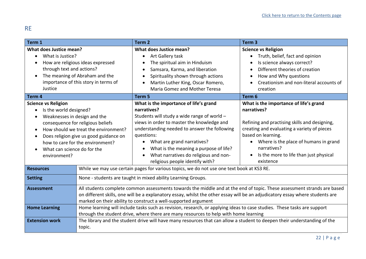## <span id="page-21-0"></span>RE

| Term 1                                                                                                                                                                                                                                                                                                                                     |                                                                                                                                                                                                                                                                                                                                                                                                                                                                                                                                                                                                                                                                                                                                           | Term <sub>2</sub>                                                                                                                                                                                                                                                                                                                                                         | Term <sub>3</sub>                                                                                                                                                                                                                                                                            |
|--------------------------------------------------------------------------------------------------------------------------------------------------------------------------------------------------------------------------------------------------------------------------------------------------------------------------------------------|-------------------------------------------------------------------------------------------------------------------------------------------------------------------------------------------------------------------------------------------------------------------------------------------------------------------------------------------------------------------------------------------------------------------------------------------------------------------------------------------------------------------------------------------------------------------------------------------------------------------------------------------------------------------------------------------------------------------------------------------|---------------------------------------------------------------------------------------------------------------------------------------------------------------------------------------------------------------------------------------------------------------------------------------------------------------------------------------------------------------------------|----------------------------------------------------------------------------------------------------------------------------------------------------------------------------------------------------------------------------------------------------------------------------------------------|
| What does Justice mean?<br>What is Justice?<br>$\bullet$<br>How are religious ideas expressed<br>through text and actions?<br>The meaning of Abraham and the<br>importance of this story in terms of<br>Justice                                                                                                                            |                                                                                                                                                                                                                                                                                                                                                                                                                                                                                                                                                                                                                                                                                                                                           | What does Justice mean?<br>Art Gallery task<br>$\bullet$<br>The spiritual aim in Hinduism<br>$\bullet$<br>Samsara, Karma, and liberation<br>€<br>Spirituality shown through actions<br>$\bullet$<br>Martin Luther King, Oscar Romero,<br><b>Maria Gomez and Mother Teresa</b>                                                                                             | <b>Science vs Religion</b><br>Truth, belief, fact and opinion<br>$\bullet$<br>Is science always correct?<br>Different theories of creation<br>How and Why questions<br>$\bullet$<br>Creationism and non-literal accounts of<br>creation                                                      |
| Term 4                                                                                                                                                                                                                                                                                                                                     |                                                                                                                                                                                                                                                                                                                                                                                                                                                                                                                                                                                                                                                                                                                                           | Term <sub>5</sub>                                                                                                                                                                                                                                                                                                                                                         | Term 6                                                                                                                                                                                                                                                                                       |
| <b>Science vs Religion</b><br>Is the world designed?<br>$\bullet$<br>Weaknesses in design and the<br>consequence for religious beliefs<br>How should we treat the environment?<br>$\bullet$<br>Does religion give us good guidance on<br>٠<br>how to care for the environment?<br>What can science do for the<br>$\bullet$<br>environment? |                                                                                                                                                                                                                                                                                                                                                                                                                                                                                                                                                                                                                                                                                                                                           | What is the importance of life's grand<br>narratives?<br>Students will study a wide range of world -<br>views in order to master the knowledge and<br>understanding needed to answer the following<br>questions:<br>What are grand narratives?<br>What is the meaning a purpose of life?<br>٠<br>What narratives do religious and non-<br>religious people identify with? | What is the importance of life's grand<br>narratives?<br>Refining and practising skills and designing,<br>creating and evaluating a variety of pieces<br>based on learning.<br>• Where is the place of humans in grand<br>narratives?<br>Is the more to life than just physical<br>existence |
| <b>Resources</b>                                                                                                                                                                                                                                                                                                                           |                                                                                                                                                                                                                                                                                                                                                                                                                                                                                                                                                                                                                                                                                                                                           | While we may use certain pages for various topics, we do not use one text book at KS3 RE.                                                                                                                                                                                                                                                                                 |                                                                                                                                                                                                                                                                                              |
| <b>Setting</b><br><b>Assessment</b><br><b>Home Learning</b><br><b>Extension work</b>                                                                                                                                                                                                                                                       | None - students are taught in mixed ability Learning Groups.<br>All students complete common assessments towards the middle and at the end of topic. These assessment strands are based<br>on different skills, one will be a explanatory essay, whilst the other essay will be an adjudicatory essay where students are<br>marked on their ability to construct a well-supported argument<br>Home learning will include tasks such as revision, research, or applying ideas to case studies. These tasks are support<br>through the student drive, where there are many resources to help with home learning<br>The library and the student drive will have many resources that can allow a student to deepen their understanding of the |                                                                                                                                                                                                                                                                                                                                                                           |                                                                                                                                                                                                                                                                                              |
|                                                                                                                                                                                                                                                                                                                                            | topic.                                                                                                                                                                                                                                                                                                                                                                                                                                                                                                                                                                                                                                                                                                                                    |                                                                                                                                                                                                                                                                                                                                                                           |                                                                                                                                                                                                                                                                                              |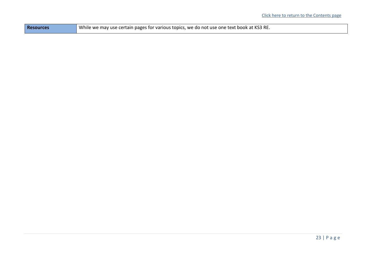| <b>Resources</b> | While we may use certain pages for various topics, we do not use one text book at KS3 RE. |
|------------------|-------------------------------------------------------------------------------------------|
|------------------|-------------------------------------------------------------------------------------------|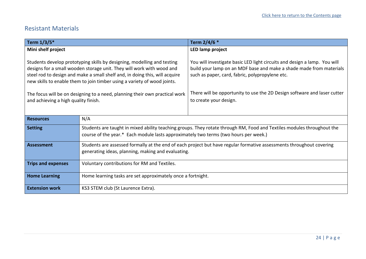## <span id="page-23-0"></span>Resistant Materials

| Term 1/3/5*                                                                                                                                                                                                                                                                                                 |                                                                                                                                                                                                                | Term 2/4/6 *                                                                                                                                                                                        |  |
|-------------------------------------------------------------------------------------------------------------------------------------------------------------------------------------------------------------------------------------------------------------------------------------------------------------|----------------------------------------------------------------------------------------------------------------------------------------------------------------------------------------------------------------|-----------------------------------------------------------------------------------------------------------------------------------------------------------------------------------------------------|--|
| Mini shelf project                                                                                                                                                                                                                                                                                          |                                                                                                                                                                                                                | LED lamp project                                                                                                                                                                                    |  |
| Students develop prototyping skills by designing, modelling and testing<br>designs for a small wooden storage unit. They will work with wood and<br>steel rod to design and make a small shelf and, in doing this, will acquire<br>new skills to enable them to join timber using a variety of wood joints. |                                                                                                                                                                                                                | You will investigate basic LED light circuits and design a lamp. You will<br>build your lamp on an MDF base and make a shade made from materials<br>such as paper, card, fabric, polypropylene etc. |  |
| The focus will be on designing to a need, planning their own practical work<br>and achieving a high quality finish.                                                                                                                                                                                         |                                                                                                                                                                                                                | There will be opportunity to use the 2D Design software and laser cutter<br>to create your design.                                                                                                  |  |
| <b>Resources</b>                                                                                                                                                                                                                                                                                            | N/A                                                                                                                                                                                                            |                                                                                                                                                                                                     |  |
| <b>Setting</b>                                                                                                                                                                                                                                                                                              | Students are taught in mixed ability teaching groups. They rotate through RM, Food and Textiles modules throughout the<br>course of the year.* Each module lasts approximately two terms (two hours per week.) |                                                                                                                                                                                                     |  |
| Assessment                                                                                                                                                                                                                                                                                                  | Students are assessed formally at the end of each project but have regular formative assessments throughout covering<br>generating ideas, planning, making and evaluating.                                     |                                                                                                                                                                                                     |  |
| <b>Trips and expenses</b>                                                                                                                                                                                                                                                                                   | Voluntary contributions for RM and Textiles.                                                                                                                                                                   |                                                                                                                                                                                                     |  |
| <b>Home Learning</b>                                                                                                                                                                                                                                                                                        | Home learning tasks are set approximately once a fortnight.                                                                                                                                                    |                                                                                                                                                                                                     |  |
| <b>Extension work</b>                                                                                                                                                                                                                                                                                       | KS3 STEM club (St Laurence Extra).                                                                                                                                                                             |                                                                                                                                                                                                     |  |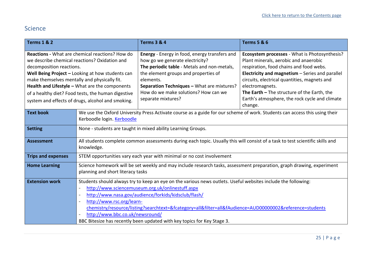# <span id="page-24-0"></span>Science

| <b>Terms 1 &amp; 2</b>                                                                                                                                                                                                                                                                                                                                                                               |                                                                                                                                                                                                                                                                                                                                                                                                                                                                                                                                          | <b>Terms 3 &amp; 4</b>                                                                                                                                                                                                                                                                           | <b>Terms 5 &amp; 6</b>                                                                                                                                                                                                                                                                                                                                                     |
|------------------------------------------------------------------------------------------------------------------------------------------------------------------------------------------------------------------------------------------------------------------------------------------------------------------------------------------------------------------------------------------------------|------------------------------------------------------------------------------------------------------------------------------------------------------------------------------------------------------------------------------------------------------------------------------------------------------------------------------------------------------------------------------------------------------------------------------------------------------------------------------------------------------------------------------------------|--------------------------------------------------------------------------------------------------------------------------------------------------------------------------------------------------------------------------------------------------------------------------------------------------|----------------------------------------------------------------------------------------------------------------------------------------------------------------------------------------------------------------------------------------------------------------------------------------------------------------------------------------------------------------------------|
| <b>Reactions - What are chemical reactions? How do</b><br>we describe chemical reactions? Oxidation and<br>decomposition reactions.<br>Well Being Project - Looking at how students can<br>make themselves mentally and physically fit.<br>Health and Lifestyle - What are the components<br>of a healthy diet? Food tests, the human digestive<br>system and effects of drugs, alcohol and smoking. |                                                                                                                                                                                                                                                                                                                                                                                                                                                                                                                                          | Energy - Energy in food, energy transfers and<br>how go we generate electricity?<br>The periodic table - Metals and non-metals,<br>the element groups and properties of<br>elements.<br>Separation Techniques - What are mixtures?<br>How do we make solutions? How can we<br>separate mixtures? | <b>Ecosystem processes</b> - What is Photosynthesis?<br>Plant minerals, aerobic and anaerobic<br>respiration, food chains and food webs.<br>Electricity and magnetism - Series and parallel<br>circuits, electrical quantities, magnets and<br>electromagnets.<br>The Earth - The structure of the Earth, the<br>Earth's atmosphere, the rock cycle and climate<br>change. |
| <b>Text book</b>                                                                                                                                                                                                                                                                                                                                                                                     | We use the Oxford University Press Activate course as a guide for our scheme of work. Students can access this using their<br>Kerboodle login. Kerboodle                                                                                                                                                                                                                                                                                                                                                                                 |                                                                                                                                                                                                                                                                                                  |                                                                                                                                                                                                                                                                                                                                                                            |
| <b>Setting</b>                                                                                                                                                                                                                                                                                                                                                                                       | None - students are taught in mixed ability Learning Groups.                                                                                                                                                                                                                                                                                                                                                                                                                                                                             |                                                                                                                                                                                                                                                                                                  |                                                                                                                                                                                                                                                                                                                                                                            |
| <b>Assessment</b>                                                                                                                                                                                                                                                                                                                                                                                    | All students complete common assessments during each topic. Usually this will consist of a task to test scientific skills and<br>knowledge.                                                                                                                                                                                                                                                                                                                                                                                              |                                                                                                                                                                                                                                                                                                  |                                                                                                                                                                                                                                                                                                                                                                            |
| <b>Trips and expenses</b>                                                                                                                                                                                                                                                                                                                                                                            | STEM opportunities vary each year with minimal or no cost involvement                                                                                                                                                                                                                                                                                                                                                                                                                                                                    |                                                                                                                                                                                                                                                                                                  |                                                                                                                                                                                                                                                                                                                                                                            |
| <b>Home Learning</b>                                                                                                                                                                                                                                                                                                                                                                                 | Science homework will be set weekly and may include research tasks, assessment preparation, graph drawing, experiment<br>planning and short literacy tasks                                                                                                                                                                                                                                                                                                                                                                               |                                                                                                                                                                                                                                                                                                  |                                                                                                                                                                                                                                                                                                                                                                            |
| <b>Extension work</b>                                                                                                                                                                                                                                                                                                                                                                                | Students should always try to keep an eye on the various news outlets. Useful websites include the following:<br>http://www.sciencemuseum.org.uk/onlinestuff.aspx<br>http://www.nasa.gov/audience/forkids/kidsclub/flash/<br>$\overline{\phantom{a}}$<br>http://www.rsc.org/learn-<br>$\overline{\phantom{a}}$<br>chemistry/resource/listing?searchtext=&fcategory=all&filter=all&fAudience=AUD00000002&reference=students<br>http://www.bbc.co.uk/newsround/<br>BBC Bitesize has recently been updated with key topics for Key Stage 3. |                                                                                                                                                                                                                                                                                                  |                                                                                                                                                                                                                                                                                                                                                                            |